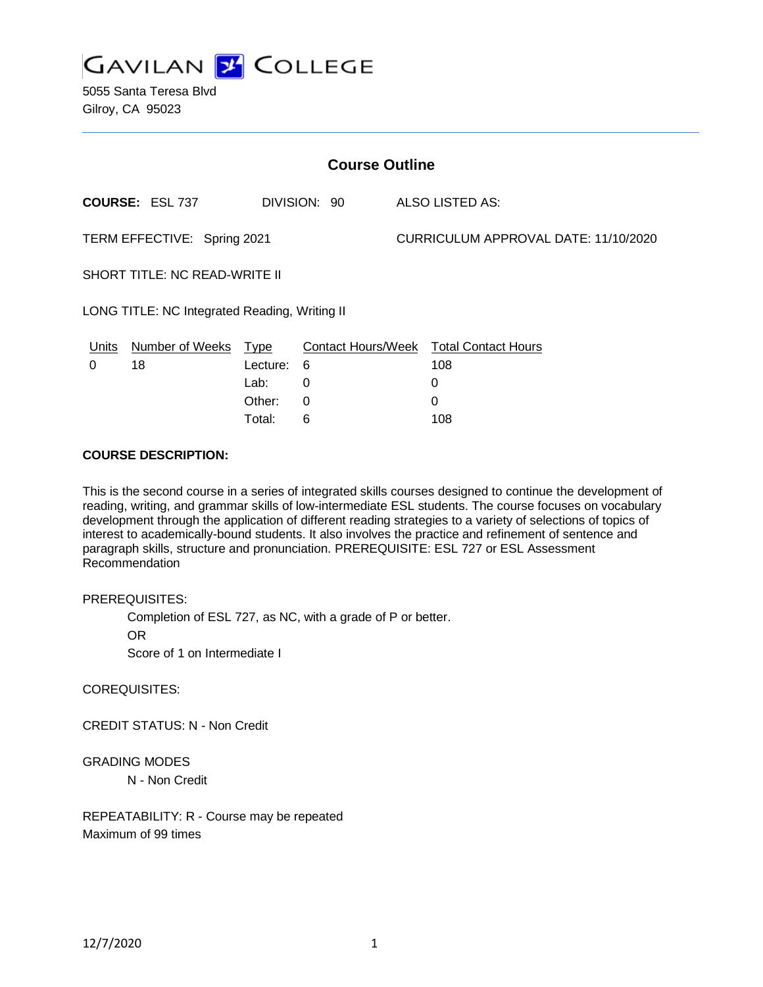

5055 Santa Teresa Blvd Gilroy, CA 95023

| <b>Course Outline</b>                         |                        |             |              |                                      |                                        |
|-----------------------------------------------|------------------------|-------------|--------------|--------------------------------------|----------------------------------------|
|                                               | <b>COURSE: ESL 737</b> |             | DIVISION: 90 |                                      | ALSO LISTED AS:                        |
| TERM EFFECTIVE: Spring 2021                   |                        |             |              | CURRICULUM APPROVAL DATE: 11/10/2020 |                                        |
| <b>SHORT TITLE: NC READ-WRITE II</b>          |                        |             |              |                                      |                                        |
| LONG TITLE: NC Integrated Reading, Writing II |                        |             |              |                                      |                                        |
| Units                                         | <b>Number of Weeks</b> | <b>Type</b> |              |                                      | Contact Hours/Week Total Contact Hours |
| 0                                             | 18                     | Lecture:    | 6            |                                      | 108                                    |
|                                               |                        | Lab:        | 0            |                                      | 0                                      |
|                                               |                        | Other:      | 0            |                                      | 0                                      |

Total: 6 108

#### **COURSE DESCRIPTION:**

This is the second course in a series of integrated skills courses designed to continue the development of reading, writing, and grammar skills of low-intermediate ESL students. The course focuses on vocabulary development through the application of different reading strategies to a variety of selections of topics of interest to academically-bound students. It also involves the practice and refinement of sentence and paragraph skills, structure and pronunciation. PREREQUISITE: ESL 727 or ESL Assessment Recommendation

#### PREREQUISITES:

Completion of ESL 727, as NC, with a grade of P or better.

OR

Score of 1 on Intermediate I

# COREQUISITES:

CREDIT STATUS: N - Non Credit

# GRADING MODES

N - Non Credit

REPEATABILITY: R - Course may be repeated Maximum of 99 times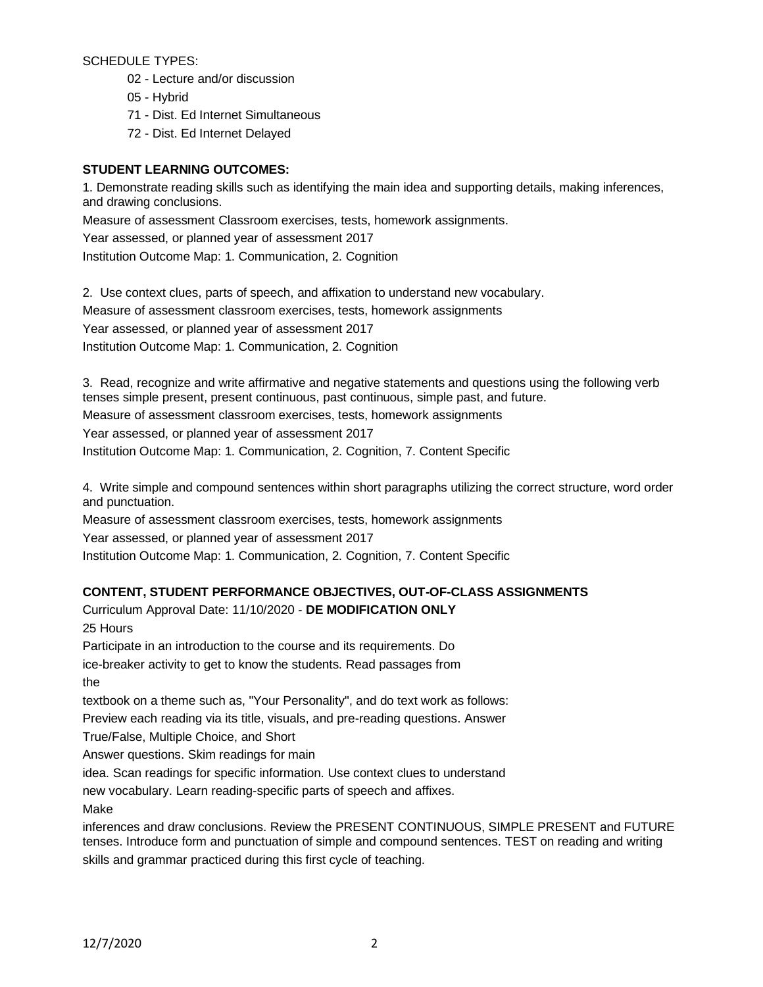SCHEDULE TYPES:

- 02 Lecture and/or discussion
- 05 Hybrid
- 71 Dist. Ed Internet Simultaneous
- 72 Dist. Ed Internet Delayed

# **STUDENT LEARNING OUTCOMES:**

1. Demonstrate reading skills such as identifying the main idea and supporting details, making inferences, and drawing conclusions.

Measure of assessment Classroom exercises, tests, homework assignments.

Year assessed, or planned year of assessment 2017

Institution Outcome Map: 1. Communication, 2. Cognition

2. Use context clues, parts of speech, and affixation to understand new vocabulary. Measure of assessment classroom exercises, tests, homework assignments Year assessed, or planned year of assessment 2017 Institution Outcome Map: 1. Communication, 2. Cognition

3. Read, recognize and write affirmative and negative statements and questions using the following verb tenses simple present, present continuous, past continuous, simple past, and future. Measure of assessment classroom exercises, tests, homework assignments Year assessed, or planned year of assessment 2017 Institution Outcome Map: 1. Communication, 2. Cognition, 7. Content Specific

4. Write simple and compound sentences within short paragraphs utilizing the correct structure, word order and punctuation.

Measure of assessment classroom exercises, tests, homework assignments

Year assessed, or planned year of assessment 2017

Institution Outcome Map: 1. Communication, 2. Cognition, 7. Content Specific

# **CONTENT, STUDENT PERFORMANCE OBJECTIVES, OUT-OF-CLASS ASSIGNMENTS**

Curriculum Approval Date: 11/10/2020 - **DE MODIFICATION ONLY** 25 Hours Participate in an introduction to the course and its requirements. Do ice-breaker activity to get to know the students. Read passages from the textbook on a theme such as, "Your Personality", and do text work as follows: Preview each reading via its title, visuals, and pre-reading questions. Answer True/False, Multiple Choice, and Short Answer questions. Skim readings for main idea. Scan readings for specific information. Use context clues to understand new vocabulary. Learn reading-specific parts of speech and affixes. Make

inferences and draw conclusions. Review the PRESENT CONTINUOUS, SIMPLE PRESENT and FUTURE tenses. Introduce form and punctuation of simple and compound sentences. TEST on reading and writing skills and grammar practiced during this first cycle of teaching.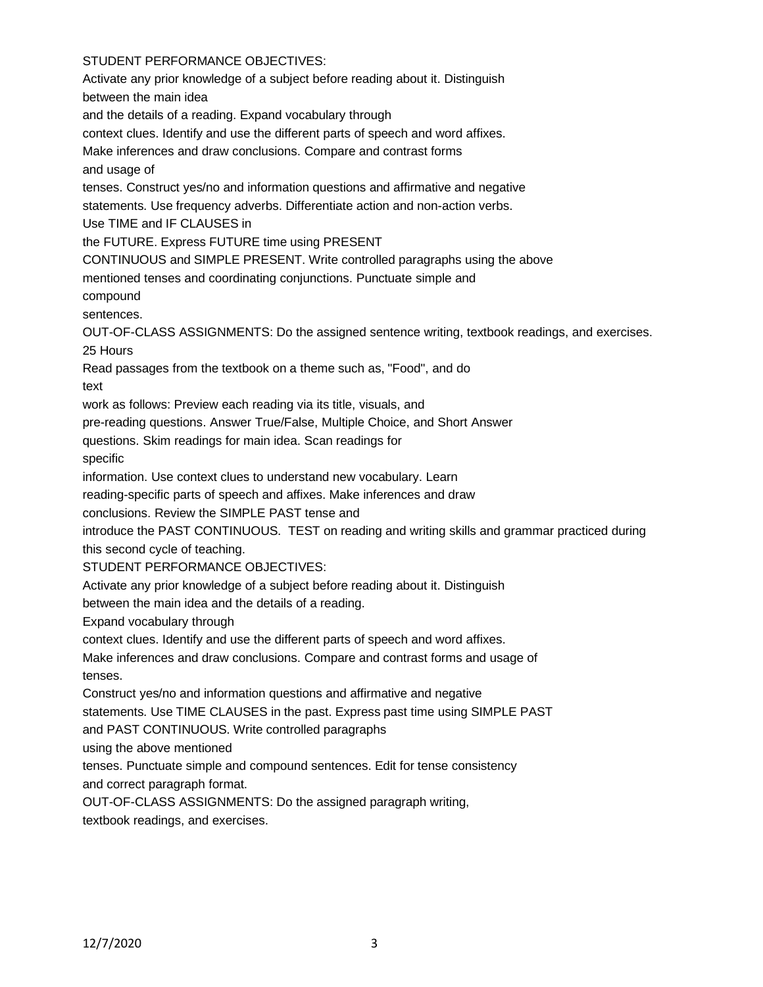# STUDENT PERFORMANCE OBJECTIVES:

Activate any prior knowledge of a subject before reading about it. Distinguish between the main idea and the details of a reading. Expand vocabulary through context clues. Identify and use the different parts of speech and word affixes. Make inferences and draw conclusions. Compare and contrast forms and usage of tenses. Construct yes/no and information questions and affirmative and negative statements. Use frequency adverbs. Differentiate action and non-action verbs. Use TIME and IF CLAUSES in the FUTURE. Express FUTURE time using PRESENT CONTINUOUS and SIMPLE PRESENT. Write controlled paragraphs using the above mentioned tenses and coordinating conjunctions. Punctuate simple and compound sentences. OUT-OF-CLASS ASSIGNMENTS: Do the assigned sentence writing, textbook readings, and exercises. 25 Hours Read passages from the textbook on a theme such as, "Food", and do text work as follows: Preview each reading via its title, visuals, and pre-reading questions. Answer True/False, Multiple Choice, and Short Answer questions. Skim readings for main idea. Scan readings for specific information. Use context clues to understand new vocabulary. Learn reading-specific parts of speech and affixes. Make inferences and draw conclusions. Review the SIMPLE PAST tense and introduce the PAST CONTINUOUS. TEST on reading and writing skills and grammar practiced during this second cycle of teaching. STUDENT PERFORMANCE OBJECTIVES: Activate any prior knowledge of a subject before reading about it. Distinguish between the main idea and the details of a reading. Expand vocabulary through context clues. Identify and use the different parts of speech and word affixes. Make inferences and draw conclusions. Compare and contrast forms and usage of tenses. Construct yes/no and information questions and affirmative and negative statements. Use TIME CLAUSES in the past. Express past time using SIMPLE PAST and PAST CONTINUOUS. Write controlled paragraphs using the above mentioned tenses. Punctuate simple and compound sentences. Edit for tense consistency and correct paragraph format. OUT-OF-CLASS ASSIGNMENTS: Do the assigned paragraph writing, textbook readings, and exercises.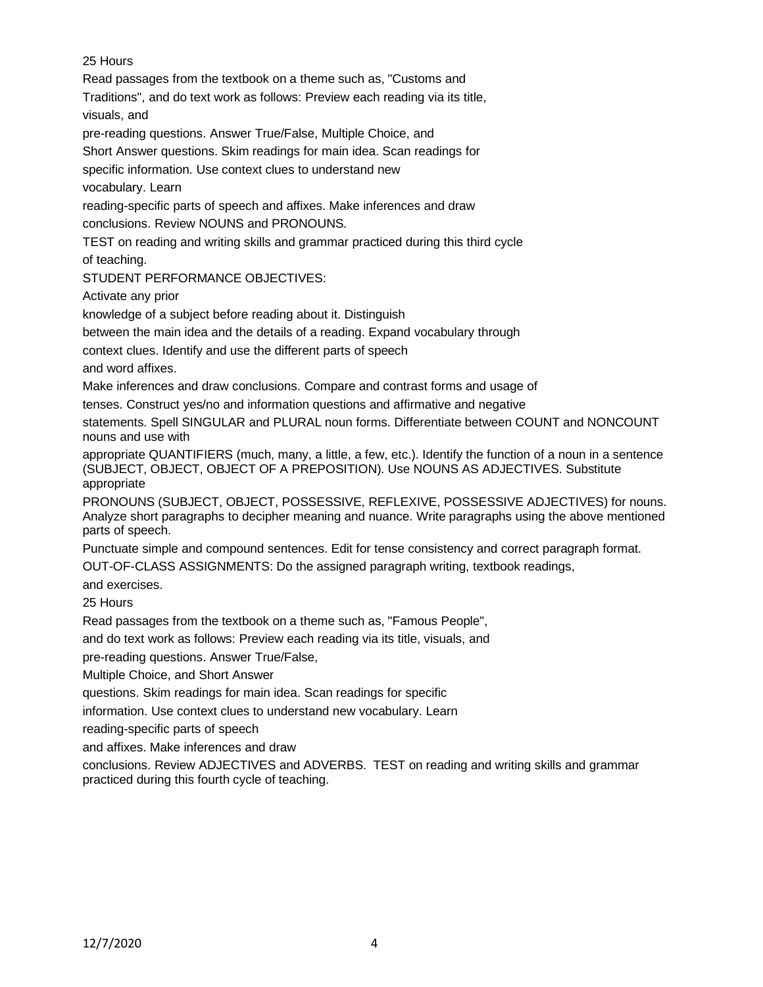# 25 Hours

Read passages from the textbook on a theme such as, "Customs and

Traditions", and do text work as follows: Preview each reading via its title, visuals, and

pre-reading questions. Answer True/False, Multiple Choice, and

Short Answer questions. Skim readings for main idea. Scan readings for

specific information. Use context clues to understand new

vocabulary. Learn

reading-specific parts of speech and affixes. Make inferences and draw conclusions. Review NOUNS and PRONOUNS.

TEST on reading and writing skills and grammar practiced during this third cycle

of teaching.

STUDENT PERFORMANCE OBJECTIVES:

Activate any prior

knowledge of a subject before reading about it. Distinguish

between the main idea and the details of a reading. Expand vocabulary through

context clues. Identify and use the different parts of speech

and word affixes.

Make inferences and draw conclusions. Compare and contrast forms and usage of

tenses. Construct yes/no and information questions and affirmative and negative

statements. Spell SINGULAR and PLURAL noun forms. Differentiate between COUNT and NONCOUNT nouns and use with

appropriate QUANTIFIERS (much, many, a little, a few, etc.). Identify the function of a noun in a sentence (SUBJECT, OBJECT, OBJECT OF A PREPOSITION). Use NOUNS AS ADJECTIVES. Substitute appropriate

PRONOUNS (SUBJECT, OBJECT, POSSESSIVE, REFLEXIVE, POSSESSIVE ADJECTIVES) for nouns. Analyze short paragraphs to decipher meaning and nuance. Write paragraphs using the above mentioned parts of speech.

Punctuate simple and compound sentences. Edit for tense consistency and correct paragraph format. OUT-OF-CLASS ASSIGNMENTS: Do the assigned paragraph writing, textbook readings,

and exercises.

25 Hours

Read passages from the textbook on a theme such as, "Famous People",

and do text work as follows: Preview each reading via its title, visuals, and

pre-reading questions. Answer True/False,

Multiple Choice, and Short Answer

questions. Skim readings for main idea. Scan readings for specific

information. Use context clues to understand new vocabulary. Learn

reading-specific parts of speech

and affixes. Make inferences and draw

conclusions. Review ADJECTIVES and ADVERBS. TEST on reading and writing skills and grammar practiced during this fourth cycle of teaching.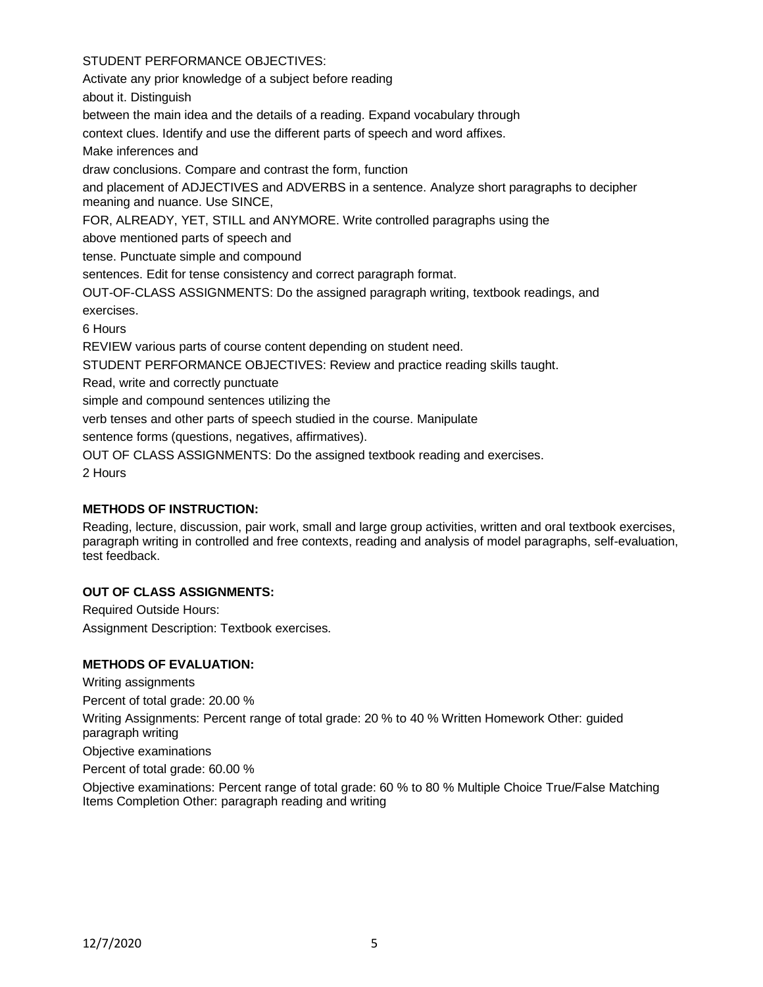# STUDENT PERFORMANCE OBJECTIVES:

Activate any prior knowledge of a subject before reading

about it. Distinguish

between the main idea and the details of a reading. Expand vocabulary through

context clues. Identify and use the different parts of speech and word affixes.

Make inferences and

draw conclusions. Compare and contrast the form, function

and placement of ADJECTIVES and ADVERBS in a sentence. Analyze short paragraphs to decipher meaning and nuance. Use SINCE,

FOR, ALREADY, YET, STILL and ANYMORE. Write controlled paragraphs using the

above mentioned parts of speech and

tense. Punctuate simple and compound

sentences. Edit for tense consistency and correct paragraph format.

OUT-OF-CLASS ASSIGNMENTS: Do the assigned paragraph writing, textbook readings, and exercises.

6 Hours

REVIEW various parts of course content depending on student need.

STUDENT PERFORMANCE OBJECTIVES: Review and practice reading skills taught.

Read, write and correctly punctuate

simple and compound sentences utilizing the

verb tenses and other parts of speech studied in the course. Manipulate

sentence forms (questions, negatives, affirmatives).

OUT OF CLASS ASSIGNMENTS: Do the assigned textbook reading and exercises.

2 Hours

# **METHODS OF INSTRUCTION:**

Reading, lecture, discussion, pair work, small and large group activities, written and oral textbook exercises, paragraph writing in controlled and free contexts, reading and analysis of model paragraphs, self-evaluation, test feedback.

# **OUT OF CLASS ASSIGNMENTS:**

Required Outside Hours: Assignment Description: Textbook exercises.

# **METHODS OF EVALUATION:**

Writing assignments

Percent of total grade: 20.00 %

Writing Assignments: Percent range of total grade: 20 % to 40 % Written Homework Other: guided paragraph writing

Objective examinations

Percent of total grade: 60.00 %

Objective examinations: Percent range of total grade: 60 % to 80 % Multiple Choice True/False Matching Items Completion Other: paragraph reading and writing